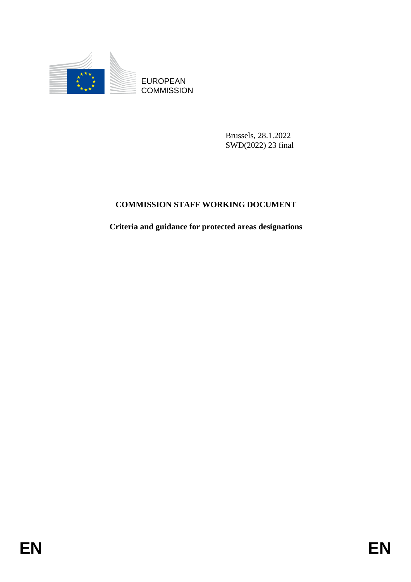

**COMMISSION** 

Brussels, 28.1.2022 SWD(2022) 23 final

# **COMMISSION STAFF WORKING DOCUMENT**

EUROPEAN<br>
ECOMMISSION<br> **ENGINEERS**<br>
ENGINEERS<br>
ENGINEERS<br>
COMMISSION STAFF WORKING DOCUMENT<br>
Criteria and guidance for protected areas designations<br>
FRIER **Criteria and guidance for protected areas designations**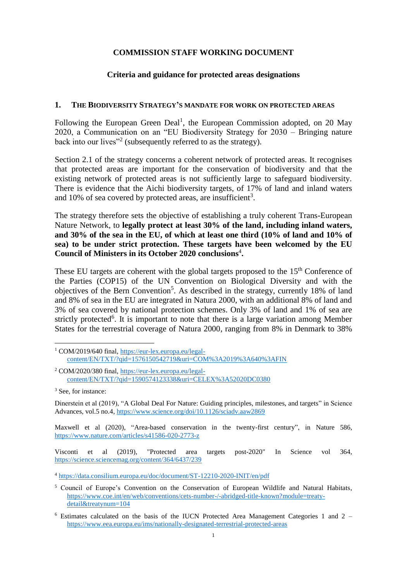#### **COMMISSION STAFF WORKING DOCUMENT**

#### **Criteria and guidance for protected areas designations**

#### **1. THE BIODIVERSITY STRATEGY'S MANDATE FOR WORK ON PROTECTED AREAS**

Following the European Green Deal<sup>1</sup>, the European Commission adopted, on 20 May 2020, a Communication on an "EU Biodiversity Strategy for 2030 – Bringing nature back into our lives"<sup>2</sup> (subsequently referred to as the strategy).

Section 2.1 of the strategy concerns a coherent network of protected areas. It recognises that protected areas are important for the conservation of biodiversity and that the existing network of protected areas is not sufficiently large to safeguard biodiversity. There is evidence that the Aichi biodiversity targets, of 17% of land and inland waters and 10% of sea covered by protected areas, are insufficient<sup>3</sup>.

The strategy therefore sets the objective of establishing a truly coherent Trans-European Nature Network, to **legally protect at least 30% of the land, including inland waters, and 30% of the sea in the EU, of which at least one third (10% of land and 10% of sea) to be under strict protection. These targets have been welcomed by the EU Council of Ministers in its October 2020 conclusions**<sup>4</sup> **.**

These EU targets are coherent with the global targets proposed to the 15<sup>th</sup> Conference of the Parties (COP15) of the UN Convention on Biological Diversity and with the objectives of the Bern Convention<sup>5</sup>. As described in the strategy, currently 18% of land and 8% of sea in the EU are integrated in Natura 2000, with an additional 8% of land and 3% of sea covered by national protection schemes. Only 3% of land and 1% of sea are strictly protected<sup>6</sup>. It is important to note that there is a large variation among Member States for the terrestrial coverage of Natura 2000, ranging from 8% in Denmark to 38%

Maxwell et al (2020), "Area-based conservation in the twenty-first century", in Nature 586, <https://www.nature.com/articles/s41586-020-2773-z>

Visconti et al (2019), "Protected area targets post-2020" In Science vol 364, <https://science.sciencemag.org/content/364/6437/239>

 $\overline{a}$ <sup>1</sup> COM/2019/640 final, [https://eur-lex.europa.eu/legal](https://eur-lex.europa.eu/legal-content/EN/TXT/?qid=1576150542719&uri=COM%3A2019%3A640%3AFIN)[content/EN/TXT/?qid=1576150542719&uri=COM%3A2019%3A640%3AFIN](https://eur-lex.europa.eu/legal-content/EN/TXT/?qid=1576150542719&uri=COM%3A2019%3A640%3AFIN)

<sup>&</sup>lt;sup>2</sup> COM/2020/380 final, [https://eur-lex.europa.eu/legal](https://eur-lex.europa.eu/legal-content/EN/TXT/?qid=1590574123338&uri=CELEX%3A52020DC0380)[content/EN/TXT/?qid=1590574123338&uri=CELEX%3A52020DC0380](https://eur-lex.europa.eu/legal-content/EN/TXT/?qid=1590574123338&uri=CELEX%3A52020DC0380)

<sup>&</sup>lt;sup>3</sup> See, for instance:

Dinerstein et al (2019), "A Global Deal For Nature: Guiding principles, milestones, and targets" in Science Advances, vol.5 no.4,<https://www.science.org/doi/10.1126/sciadv.aaw2869>

<sup>4</sup> <https://data.consilium.europa.eu/doc/document/ST-12210-2020-INIT/en/pdf>

<sup>5</sup> Council of Europe's Convention on the Conservation of European Wildlife and Natural Habitats, [https://www.coe.int/en/web/conventions/cets-number-/-abridged-title-known?module=treaty](https://www.coe.int/en/web/conventions/cets-number-/-abridged-title-known?module=treaty-detail&treatynum=104)[detail&treatynum=104](https://www.coe.int/en/web/conventions/cets-number-/-abridged-title-known?module=treaty-detail&treatynum=104)

 $6$  Estimates calculated on the basis of the IUCN Protected Area Management Categories 1 and 2 – <https://www.eea.europa.eu/ims/nationally-designated-terrestrial-protected-areas>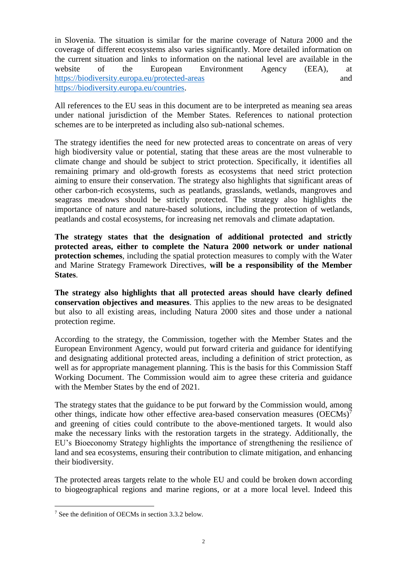in Slovenia. The situation is similar for the marine coverage of Natura 2000 and the coverage of different ecosystems also varies significantly. More detailed information on the current situation and links to information on the national level are available in the website of the European Environment Agency (EEA), at <https://biodiversity.europa.eu/protected-areas> and [https://biodiversity.europa.eu/countries.](https://biodiversity.europa.eu/countries)

All references to the EU seas in this document are to be interpreted as meaning sea areas under national jurisdiction of the Member States. References to national protection schemes are to be interpreted as including also sub-national schemes.

The strategy identifies the need for new protected areas to concentrate on areas of very high biodiversity value or potential, stating that these areas are the most vulnerable to climate change and should be subject to strict protection. Specifically, it identifies all remaining primary and old-growth forests as ecosystems that need strict protection aiming to ensure their conservation. The strategy also highlights that significant areas of other carbon-rich ecosystems, such as peatlands, grasslands, wetlands, mangroves and seagrass meadows should be strictly protected. The strategy also highlights the importance of nature and nature-based solutions, including the protection of wetlands, peatlands and costal ecosystems, for increasing net removals and climate adaptation.

**The strategy states that the designation of additional protected and strictly protected areas, either to complete the Natura 2000 network or under national protection schemes**, including the spatial protection measures to comply with the Water and Marine Strategy Framework Directives, **will be a responsibility of the Member States**.

**The strategy also highlights that all protected areas should have clearly defined conservation objectives and measures**. This applies to the new areas to be designated but also to all existing areas, including Natura 2000 sites and those under a national protection regime.

According to the strategy, the Commission, together with the Member States and the European Environment Agency, would put forward criteria and guidance for identifying and designating additional protected areas, including a definition of strict protection, as well as for appropriate management planning. This is the basis for this Commission Staff Working Document. The Commission would aim to agree these criteria and guidance with the Member States by the end of 2021.

The strategy states that the guidance to be put forward by the Commission would, among other things, indicate how other effective area-based conservation measures  $(OECMs)^7$ and greening of cities could contribute to the above-mentioned targets. It would also make the necessary links with the restoration targets in the strategy. Additionally, the EU's Bioeconomy Strategy highlights the importance of strengthening the resilience of land and sea ecosystems, ensuring their contribution to climate mitigation, and enhancing their biodiversity.

The protected areas targets relate to the whole EU and could be broken down according to biogeographical regions and marine regions, or at a more local level. Indeed this

<sup>7</sup> See the definition of OECMs in section 3.3.2 below.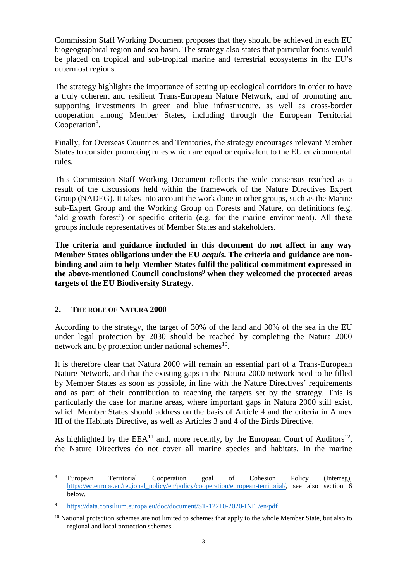Commission Staff Working Document proposes that they should be achieved in each EU biogeographical region and sea basin. The strategy also states that particular focus would be placed on tropical and sub-tropical marine and terrestrial ecosystems in the EU's outermost regions.

The strategy highlights the importance of setting up ecological corridors in order to have a truly coherent and resilient Trans-European Nature Network, and of promoting and supporting investments in green and blue infrastructure, as well as cross-border cooperation among Member States, including through the European Territorial Cooperation<sup>8</sup>.

Finally, for Overseas Countries and Territories, the strategy encourages relevant Member States to consider promoting rules which are equal or equivalent to the EU environmental rules.

This Commission Staff Working Document reflects the wide consensus reached as a result of the discussions held within the framework of the Nature Directives Expert Group (NADEG). It takes into account the work done in other groups, such as the Marine sub-Expert Group and the Working Group on Forests and Nature, on definitions (e.g. 'old growth forest') or specific criteria (e.g. for the marine environment). All these groups include representatives of Member States and stakeholders.

**The criteria and guidance included in this document do not affect in any way Member States obligations under the EU** *acquis***. The criteria and guidance are nonbinding and aim to help Member States fulfil the political commitment expressed in the above-mentioned Council conclusions<sup>9</sup> when they welcomed the protected areas targets of the EU Biodiversity Strategy**.

# **2. THE ROLE OF NATURA 2000**

According to the strategy, the target of 30% of the land and 30% of the sea in the EU under legal protection by 2030 should be reached by completing the Natura 2000 network and by protection under national schemes $^{10}$ .

It is therefore clear that Natura 2000 will remain an essential part of a Trans-European Nature Network, and that the existing gaps in the Natura 2000 network need to be filled by Member States as soon as possible, in line with the Nature Directives' requirements and as part of their contribution to reaching the targets set by the strategy. This is particularly the case for marine areas, where important gaps in Natura 2000 still exist, which Member States should address on the basis of Article 4 and the criteria in Annex III of the Habitats Directive, as well as Articles 3 and 4 of the Birds Directive.

As highlighted by the  $EEA<sup>11</sup>$  and, more recently, by the European Court of Auditors<sup>12</sup>, the Nature Directives do not cover all marine species and habitats. In the marine

 $\overline{a}$ <sup>8</sup> European Territorial Cooperation goal of Cohesion Policy (Interreg), [https://ec.europa.eu/regional\\_policy/en/policy/cooperation/european-territorial/,](https://ec.europa.eu/regional_policy/en/policy/cooperation/european-territorial/) see also section 6 below.

<sup>9</sup> <https://data.consilium.europa.eu/doc/document/ST-12210-2020-INIT/en/pdf>

<sup>&</sup>lt;sup>10</sup> National protection schemes are not limited to schemes that apply to the whole Member State, but also to regional and local protection schemes.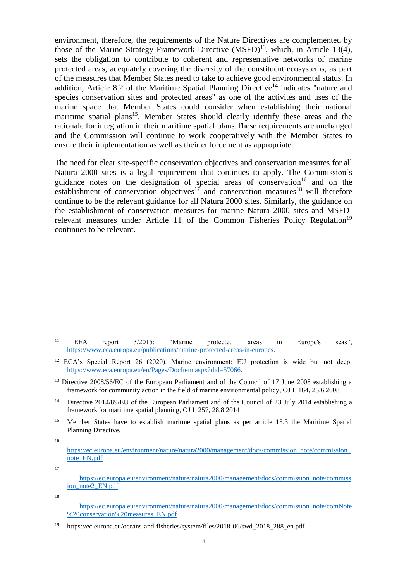environment, therefore, the requirements of the Nature Directives are complemented by those of the Marine Strategy Framework Directive  $(MSFD)^{13}$ , which, in Article 13(4), sets the obligation to contribute to coherent and representative networks of marine protected areas, adequately covering the diversity of the constituent ecosystems, as part of the measures that Member States need to take to achieve good environmental status. In addition, Article 8.2 of the Maritime Spatial Planning Directive<sup>14</sup> indicates "nature and species conservation sites and protected areas" as one of the activites and uses of the marine space that Member States could consider when establishing their national maritime spatial plans<sup>15</sup>. Member States should clearly identify these areas and the rationale for integration in their maritime spatial plans.These requirements are unchanged and the Commission will continue to work cooperatively with the Member States to ensure their implementation as well as their enforcement as appropriate.

The need for clear site-specific conservation objectives and conservation measures for all Natura 2000 sites is a legal requirement that continues to apply. The Commission's guidance notes on the designation of special areas of conservation<sup>16</sup> and on the establishment of conservation objectives<sup>17</sup> and conservation measures<sup>18</sup> will therefore continue to be the relevant guidance for all Natura 2000 sites. Similarly, the guidance on the establishment of conservation measures for marine Natura 2000 sites and MSFDrelevant measures under Article 11 of the Common Fisheries Policy Regulation<sup>19</sup> continues to be relevant.

- <sup>14</sup> Directive 2014/89/EU of the European Parliament and of the Council of 23 July 2014 establishing a framework for maritime spatial planning, OJ L 257, 28.8.2014
- <sup>15</sup> Member States have to establish maritme spatial plans as per article 15.3 the Maritime Spatial Planning Directive.

16

17

[https://ec.europa.eu/environment/nature/natura2000/management/docs/commission\\_note/comNote](https://ec.europa.eu/environment/nature/natura2000/management/docs/commission_note/comNote%20conservation%20measures_EN.pdf) [%20conservation%20measures\\_EN.pdf](https://ec.europa.eu/environment/nature/natura2000/management/docs/commission_note/comNote%20conservation%20measures_EN.pdf)

 $\overline{a}$ <sup>11</sup> EEA report 3/2015: "Marine protected areas in Europe's seas", [https://www.eea.europa.eu/publications/marine-protected-areas-in-europes.](https://www.eea.europa.eu/publications/marine-protected-areas-in-europes)

<sup>&</sup>lt;sup>12</sup> ECA's Special Report 26 (2020). Marine environment: EU protection is wide but not deep, [https://www.eca.europa.eu/en/Pages/DocItem.aspx?did=57066.](https://www.eca.europa.eu/en/Pages/DocItem.aspx?did=57066)

<sup>&</sup>lt;sup>13</sup> Directive 2008/56/EC of the European Parliament and of the Council of 17 June 2008 establishing a framework for community action in the field of marine environmental policy, OJ L 164, 25.6.2008

[https://ec.europa.eu/environment/nature/natura2000/management/docs/commission\\_note/commission\\_](https://ec.europa.eu/environment/nature/natura2000/management/docs/commission_note/commission_note_EN.pdf) [note\\_EN.pdf](https://ec.europa.eu/environment/nature/natura2000/management/docs/commission_note/commission_note_EN.pdf)

[https://ec.europa.eu/environment/nature/natura2000/management/docs/commission\\_note/commiss](https://ec.europa.eu/environment/nature/natura2000/management/docs/commission_note/commission_note2_EN.pdf) [ion\\_note2\\_EN.pdf](https://ec.europa.eu/environment/nature/natura2000/management/docs/commission_note/commission_note2_EN.pdf)

<sup>18</sup>

<sup>&</sup>lt;sup>19</sup> [https://ec.europa.eu/oceans-and-fisheries/system/files/2018-06/swd\\_2018\\_288\\_en.pdf](https://ec.europa.eu/oceans-and-fisheries/system/files/2018-06/swd_2018_288_en.pdf)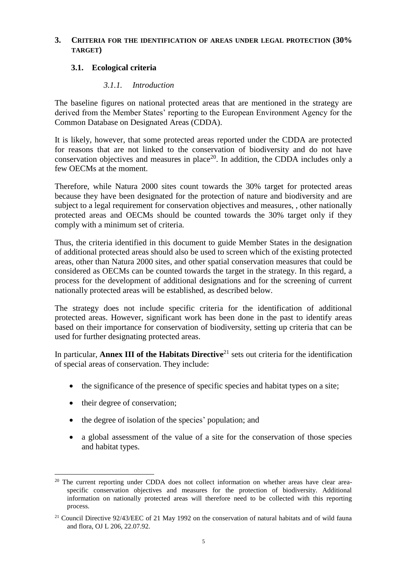#### **3. CRITERIA FOR THE IDENTIFICATION OF AREAS UNDER LEGAL PROTECTION (30% TARGET)**

# **3.1. Ecological criteria**

#### *3.1.1. Introduction*

The baseline figures on national protected areas that are mentioned in the strategy are derived from the Member States' reporting to the European Environment Agency for the Common Database on Designated Areas (CDDA).

It is likely, however, that some protected areas reported under the CDDA are protected for reasons that are not linked to the conservation of biodiversity and do not have conservation objectives and measures in place<sup>20</sup>. In addition, the CDDA includes only a few OECMs at the moment.

Therefore, while Natura 2000 sites count towards the 30% target for protected areas because they have been designated for the protection of nature and biodiversity and are subject to a legal requirement for conservation objectives and measures, , other nationally protected areas and OECMs should be counted towards the 30% target only if they comply with a minimum set of criteria.

Thus, the criteria identified in this document to guide Member States in the designation of additional protected areas should also be used to screen which of the existing protected areas, other than Natura 2000 sites, and other spatial conservation measures that could be considered as OECMs can be counted towards the target in the strategy. In this regard, a process for the development of additional designations and for the screening of current nationally protected areas will be established, as described below.

The strategy does not include specific criteria for the identification of additional protected areas. However, significant work has been done in the past to identify areas based on their importance for conservation of biodiversity, setting up criteria that can be used for further designating protected areas.

In particular, **Annex III of the Habitats Directive**<sup>21</sup> sets out criteria for the identification of special areas of conservation. They include:

- the significance of the presence of specific species and habitat types on a site;
- their degree of conservation;
- the degree of isolation of the species' population; and
- a global assessment of the value of a site for the conservation of those species and habitat types.

 $\overline{a}$ <sup>20</sup> The current reporting under CDDA does not collect information on whether areas have clear areaspecific conservation objectives and measures for the protection of biodiversity. Additional information on nationally protected areas will therefore need to be collected with this reporting process.

<sup>&</sup>lt;sup>21</sup> Council Directive 92/43/EEC of 21 May 1992 on the conservation of natural habitats and of wild fauna and flora, OJ L 206, 22.07.92.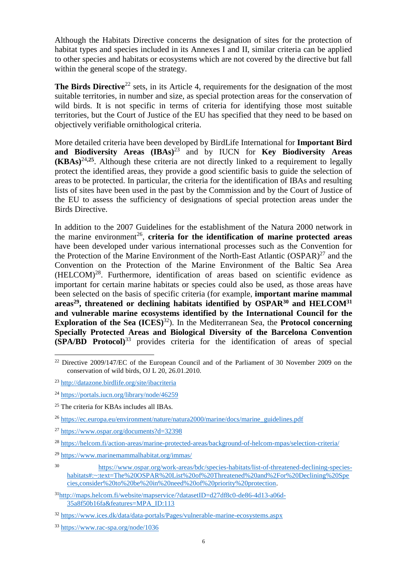Although the Habitats Directive concerns the designation of sites for the protection of habitat types and species included in its Annexes I and II, similar criteria can be applied to other species and habitats or ecosystems which are not covered by the directive but fall within the general scope of the strategy.

**The Birds Directive**<sup>22</sup> sets, in its Article 4, requirements for the designation of the most suitable territories, in number and size, as special protection areas for the conservation of wild birds. It is not specific in terms of criteria for identifying those most suitable territories, but the Court of Justice of the EU has specified that they need to be based on objectively verifiable ornithological criteria.

More detailed criteria have been developed by BirdLife International for **Important Bird and Biodiversity Areas (IBAs)**<sup>23</sup> and by IUCN for **Key Biodiversity Areas (KBAs)**<sup>24</sup>**,25** . Although these criteria are not directly linked to a requirement to legally protect the identified areas, they provide a good scientific basis to guide the selection of areas to be protected. In particular, the criteria for the identification of IBAs and resulting lists of sites have been used in the past by the Commission and by the Court of Justice of the EU to assess the sufficiency of designations of special protection areas under the Birds Directive.

In addition to the 2007 Guidelines for the establishment of the Natura 2000 network in the marine environment<sup>26</sup>, criteria for the identification of marine protected areas have been developed under various international processes such as the Convention for the Protection of the Marine Environment of the North-East Atlantic  $(SPAR)^{27}$  and the Convention on the Protection of the Marine Environment of the Baltic Sea Area (HELCOM) 28 . Furthermore, identification of areas based on scientific evidence as important for certain marine habitats or species could also be used, as those areas have been selected on the basis of specific criteria (for example, **important marine mammal areas <sup>29</sup>, threatened or declining habitats identified by OSPAR<sup>30</sup> and HELCOM<sup>31</sup> and vulnerable marine ecosystems identified by the International Council for the Exploration of the Sea (ICES)** <sup>32</sup>). In the Mediterranean Sea, the **Protocol concerning Specially Protected Areas and Biological Diversity of the Barcelona Convention (SPA/BD Protocol)** <sup>33</sup> provides criteria for the identification of areas of special

<sup>&</sup>lt;sup>22</sup> Directive 2009/147/EC of the European Council and of the Parliament of 30 November 2009 on the conservation of wild birds, OJ L 20, 26.01.2010.

<sup>23</sup> <http://datazone.birdlife.org/site/ibacriteria>

<sup>24</sup> <https://portals.iucn.org/library/node/46259>

<sup>&</sup>lt;sup>25</sup> The criteria for KBAs includes all IBAs.

<sup>26</sup> [https://ec.europa.eu/environment/nature/natura2000/marine/docs/marine\\_guidelines.pdf](https://ec.europa.eu/environment/nature/natura2000/marine/docs/marine_guidelines.pdf)

<sup>27</sup> <https://www.ospar.org/documents?d=32398>

<sup>28</sup> <https://helcom.fi/action-areas/marine-protected-areas/background-of-helcom-mpas/selection-criteria/>

<sup>29</sup> <https://www.marinemammalhabitat.org/immas/>

<sup>30</sup> [https://www.ospar.org/work-areas/bdc/species-habitats/list-of-threatened-declining-species](https://www.ospar.org/work-areas/bdc/species-habitats/list-of-threatened-declining-species-habitats#:~:text=The%20OSPAR%20List%20of%20Threatened%20and%2For%20Declining%20Species,consider%20to%20be%20in%20need%20of%20priority%20protection)[habitats#:~:text=The%20OSPAR%20List%20of%20Threatened%20and%2For%20Declining%20Spe](https://www.ospar.org/work-areas/bdc/species-habitats/list-of-threatened-declining-species-habitats#:~:text=The%20OSPAR%20List%20of%20Threatened%20and%2For%20Declining%20Species,consider%20to%20be%20in%20need%20of%20priority%20protection) [cies,consider%20to%20be%20in%20need%20of%20priority%20protection.](https://www.ospar.org/work-areas/bdc/species-habitats/list-of-threatened-declining-species-habitats#:~:text=The%20OSPAR%20List%20of%20Threatened%20and%2For%20Declining%20Species,consider%20to%20be%20in%20need%20of%20priority%20protection)

<sup>31</sup>[http://maps.helcom.fi/website/mapservice/?datasetID=d27df8c0-de86-4d13-a06d-](http://maps.helcom.fi/website/mapservice/?datasetID=d27df8c0-de86-4d13-a06d-35a8f50b16fa&features=MPA_ID:113)[35a8f50b16fa&features=MPA\\_ID:113](http://maps.helcom.fi/website/mapservice/?datasetID=d27df8c0-de86-4d13-a06d-35a8f50b16fa&features=MPA_ID:113)

<sup>32</sup> <https://www.ices.dk/data/data-portals/Pages/vulnerable-marine-ecosystems.aspx>

<sup>33</sup> <https://www.rac-spa.org/node/1036>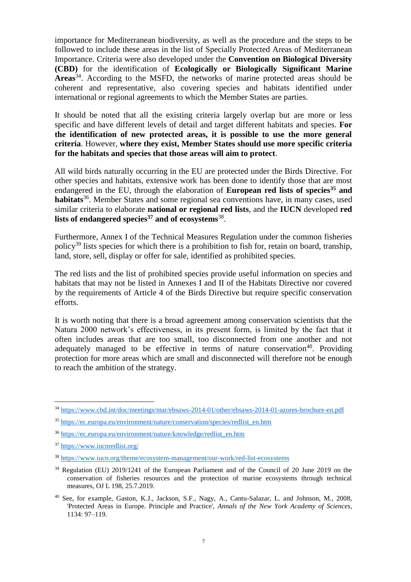importance for Mediterranean biodiversity, as well as the procedure and the steps to be followed to include these areas in the list of Specially Protected Areas of Mediterranean Importance. Criteria were also developed under the **Convention on Biological Diversity (CBD)** for the identification of **Ecologically or Biologically Significant Marine Areas**<sup>34</sup> . According to the MSFD, the networks of marine protected areas should be coherent and representative, also covering species and habitats identified under international or regional agreements to which the Member States are parties.

It should be noted that all the existing criteria largely overlap but are more or less specific and have different levels of detail and target different habitats and species. **For the identification of new protected areas, it is possible to use the more general criteria**. However, **where they exist, Member States should use more specific criteria for the habitats and species that those areas will aim to protect**.

All wild birds naturally occurring in the EU are protected under the Birds Directive. For other species and habitats, extensive work has been done to identify those that are most endangered in the EU, through the elaboration of **European red lists of species<sup>35</sup> and**  habitats<sup>36</sup>. Member States and some regional sea conventions have, in many cases, used similar criteria to elaborate **national or regional red lists**, and the **IUCN** developed **red lists of endangered species<sup>37</sup> and of ecosystems**<sup>38</sup> .

Furthermore, Annex I of the Technical Measures Regulation under the common fisheries policy<sup>39</sup> lists species for which there is a prohibition to fish for, retain on board, tranship, land, store, sell, display or offer for sale, identified as prohibited species.

The red lists and the list of prohibited species provide useful information on species and habitats that may not be listed in Annexes I and II of the Habitats Directive nor covered by the requirements of Article 4 of the Birds Directive but require specific conservation efforts.

It is worth noting that there is a broad agreement among conservation scientists that the Natura 2000 network's effectiveness, in its present form, is limited by the fact that it often includes areas that are too small, too disconnected from one another and not adequately managed to be effective in terms of nature conservation<sup>40</sup>. Providing protection for more areas which are small and disconnected will therefore not be enough to reach the ambition of the strategy.

<sup>34</sup> <https://www.cbd.int/doc/meetings/mar/ebsaws-2014-01/other/ebsaws-2014-01-azores-brochure-en.pdf>

<sup>35</sup> [https://ec.europa.eu/environment/nature/conservation/species/redlist\\_en.htm](https://ec.europa.eu/environment/nature/conservation/species/redlist_en.htm)

<sup>36</sup> [https://ec.europa.eu/environment/nature/knowledge/redlist\\_en.htm](https://ec.europa.eu/environment/nature/knowledge/redlist_en.htm)

<sup>37</sup> <https://www.iucnredlist.org/>

<sup>38</sup> <https://www.iucn.org/theme/ecosystem-management/our-work/red-list-ecosystems>

<sup>&</sup>lt;sup>39</sup> Regulation (EU) 2019/1241 of the European Parliament and of the Council of 20 June 2019 on the conservation of fisheries resources and the protection of marine ecosystems through technical measures, OJ L 198, 25.7.2019.

<sup>40</sup> See, for example, Gaston, K.J., Jackson, S.F., Nagy, A., Cantu-Salazar, L. and Johnson, M., 2008, 'Protected Areas in Europe. Principle and Practice', *Annals of the New York Academy of Sciences*, 1134: 97–119.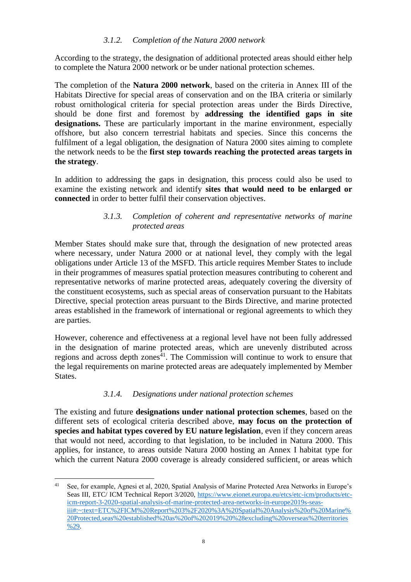# *3.1.2. Completion of the Natura 2000 network*

According to the strategy, the designation of additional protected areas should either help to complete the Natura 2000 network or be under national protection schemes.

The completion of the **Natura 2000 network**, based on the criteria in Annex III of the Habitats Directive for special areas of conservation and on the IBA criteria or similarly robust ornithological criteria for special protection areas under the Birds Directive, should be done first and foremost by **addressing the identified gaps in site**  designations. These are particularly important in the marine environment, especially offshore, but also concern terrestrial habitats and species. Since this concerns the fulfilment of a legal obligation, the designation of Natura 2000 sites aiming to complete the network needs to be the **first step towards reaching the protected areas targets in the strategy**.

In addition to addressing the gaps in designation, this process could also be used to examine the existing network and identify **sites that would need to be enlarged or connected** in order to better fulfil their conservation objectives.

#### *3.1.3. Completion of coherent and representative networks of marine protected areas*

Member States should make sure that, through the designation of new protected areas where necessary, under Natura 2000 or at national level, they comply with the legal obligations under Article 13 of the MSFD. This article requires Member States to include in their programmes of measures spatial protection measures contributing to coherent and representative networks of marine protected areas, adequately covering the diversity of the constituent ecosystems, such as special areas of conservation pursuant to the Habitats Directive, special protection areas pursuant to the Birds Directive, and marine protected areas established in the framework of international or regional agreements to which they are parties.

However, coherence and effectiveness at a regional level have not been fully addressed in the designation of marine protected areas, which are unevenly distributed across regions and across depth zones $41$ . The Commission will continue to work to ensure that the legal requirements on marine protected areas are adequately implemented by Member States.

# *3.1.4. Designations under national protection schemes*

The existing and future **designations under national protection schemes**, based on the different sets of ecological criteria described above, **may focus on the protection of species and habitat types covered by EU nature legislation**, even if they concern areas that would not need, according to that legislation, to be included in Natura 2000. This applies, for instance, to areas outside Natura 2000 hosting an Annex I habitat type for which the current Natura 2000 coverage is already considered sufficient, or areas which

<sup>41</sup> See, for example, Agnesi et al, 2020, Spatial Analysis of Marine Protected Area Networks in Europe's Seas III, ETC/ ICM Technical Report 3/2020, [https://www.eionet.europa.eu/etcs/etc-icm/products/etc](https://www.eionet.europa.eu/etcs/etc-icm/products/etc-icm-report-3-2020-spatial-analysis-of-marine-protected-area-networks-in-europe2019s-seas-iii#:~:text=ETC%2FICM%20Report%203%2F2020%3A%20Spatial%20Analysis%20of%20Marine%20Protected,seas%20established%20as%20of%202019%20%28excluding%20overseas%20territories%29)[icm-report-3-2020-spatial-analysis-of-marine-protected-area-networks-in-europe2019s-seas](https://www.eionet.europa.eu/etcs/etc-icm/products/etc-icm-report-3-2020-spatial-analysis-of-marine-protected-area-networks-in-europe2019s-seas-iii#:~:text=ETC%2FICM%20Report%203%2F2020%3A%20Spatial%20Analysis%20of%20Marine%20Protected,seas%20established%20as%20of%202019%20%28excluding%20overseas%20territories%29)[iii#:~:text=ETC%2FICM%20Report%203%2F2020%3A%20Spatial%20Analysis%20of%20Marine%](https://www.eionet.europa.eu/etcs/etc-icm/products/etc-icm-report-3-2020-spatial-analysis-of-marine-protected-area-networks-in-europe2019s-seas-iii#:~:text=ETC%2FICM%20Report%203%2F2020%3A%20Spatial%20Analysis%20of%20Marine%20Protected,seas%20established%20as%20of%202019%20%28excluding%20overseas%20territories%29) [20Protected,seas%20established%20as%20of%202019%20%28excluding%20overseas%20territories](https://www.eionet.europa.eu/etcs/etc-icm/products/etc-icm-report-3-2020-spatial-analysis-of-marine-protected-area-networks-in-europe2019s-seas-iii#:~:text=ETC%2FICM%20Report%203%2F2020%3A%20Spatial%20Analysis%20of%20Marine%20Protected,seas%20established%20as%20of%202019%20%28excluding%20overseas%20territories%29) [%29.](https://www.eionet.europa.eu/etcs/etc-icm/products/etc-icm-report-3-2020-spatial-analysis-of-marine-protected-area-networks-in-europe2019s-seas-iii#:~:text=ETC%2FICM%20Report%203%2F2020%3A%20Spatial%20Analysis%20of%20Marine%20Protected,seas%20established%20as%20of%202019%20%28excluding%20overseas%20territories%29)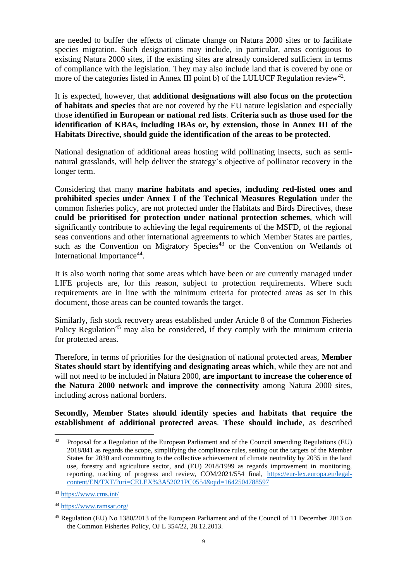are needed to buffer the effects of climate change on Natura 2000 sites or to facilitate species migration. Such designations may include, in particular, areas contiguous to existing Natura 2000 sites, if the existing sites are already considered sufficient in terms of compliance with the legislation. They may also include land that is covered by one or more of the categories listed in Annex III point b) of the LULUCF Regulation review<sup>42</sup>.

It is expected, however, that **additional designations will also focus on the protection of habitats and species** that are not covered by the EU nature legislation and especially those **identified in European or national red lists**. **Criteria such as those used for the identification of KBAs, including IBAs or, by extension, those in Annex III of the Habitats Directive, should guide the identification of the areas to be protected**.

National designation of additional areas hosting wild pollinating insects, such as seminatural grasslands, will help deliver the strategy's objective of pollinator recovery in the longer term.

Considering that many **marine habitats and species**, **including red-listed ones and prohibited species under Annex I of the Technical Measures Regulation** under the common fisheries policy, are not protected under the Habitats and Birds Directives, these **could be prioritised for protection under national protection schemes**, which will significantly contribute to achieving the legal requirements of the MSFD, of the regional seas conventions and other international agreements to which Member States are parties, such as the Convention on Migratory Species<sup>43</sup> or the Convention on Wetlands of International Importance<sup>44</sup>.

It is also worth noting that some areas which have been or are currently managed under LIFE projects are, for this reason, subject to protection requirements. Where such requirements are in line with the minimum criteria for protected areas as set in this document, those areas can be counted towards the target.

Similarly, fish stock recovery areas established under Article 8 of the Common Fisheries Policy Regulation<sup>45</sup> may also be considered, if they comply with the minimum criteria for protected areas.

Therefore, in terms of priorities for the designation of national protected areas, **Member States should start by identifying and designating areas which**, while they are not and will not need to be included in Natura 2000, **are important to increase the coherence of the Natura 2000 network and improve the connectivity** among Natura 2000 sites, including across national borders.

**Secondly, Member States should identify species and habitats that require the establishment of additional protected areas**. **These should include**, as described

<sup>&</sup>lt;sup>42</sup> Proposal for a Regulation of the European Parliament and of the Council amending Regulations (EU) 2018/841 as regards the scope, simplifying the compliance rules, setting out the targets of the Member States for 2030 and committing to the collective achievement of climate neutrality by 2035 in the land use, forestry and agriculture sector, and (EU) 2018/1999 as regards improvement in monitoring, reporting, tracking of progress and review, COM/2021/554 final, [https://eur-lex.europa.eu/legal](https://eur-lex.europa.eu/legal-content/EN/TXT/?uri=CELEX%3A52021PC0554&qid=1642504788597)[content/EN/TXT/?uri=CELEX%3A52021PC0554&qid=1642504788597](https://eur-lex.europa.eu/legal-content/EN/TXT/?uri=CELEX%3A52021PC0554&qid=1642504788597)

<sup>43</sup> <https://www.cms.int/>

<sup>44</sup> <https://www.ramsar.org/>

<sup>45</sup> Regulation (EU) No 1380/2013 of the European Parliament and of the Council of 11 December 2013 on the Common Fisheries Policy, OJ L 354/22, 28.12.2013.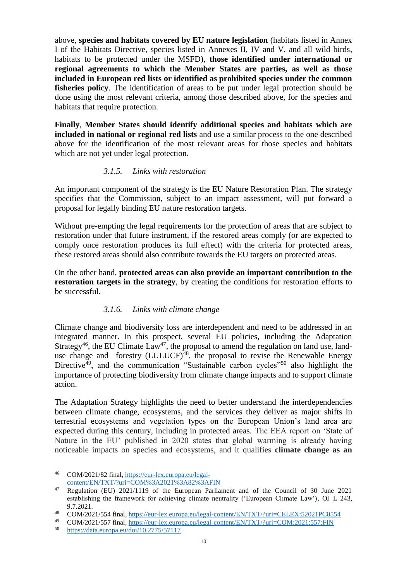above, **species and habitats covered by EU nature legislation** (habitats listed in Annex I of the Habitats Directive, species listed in Annexes II, IV and V, and all wild birds, habitats to be protected under the MSFD), **those identified under international or regional agreements to which the Member States are parties, as well as those included in European red lists or identified as prohibited species under the common fisheries policy**. The identification of areas to be put under legal protection should be done using the most relevant criteria, among those described above, for the species and habitats that require protection.

**Finally**, **Member States should identify additional species and habitats which are included in national or regional red lists** and use a similar process to the one described above for the identification of the most relevant areas for those species and habitats which are not yet under legal protection.

# *3.1.5. Links with restoration*

An important component of the strategy is the EU Nature Restoration Plan. The strategy specifies that the Commission, subject to an impact assessment, will put forward a proposal for legally binding EU nature restoration targets.

Without pre-empting the legal requirements for the protection of areas that are subject to restoration under that future instrument, if the restored areas comply (or are expected to comply once restoration produces its full effect) with the criteria for protected areas, these restored areas should also contribute towards the EU targets on protected areas.

On the other hand, **protected areas can also provide an important contribution to the restoration targets in the strategy**, by creating the conditions for restoration efforts to be successful.

# *3.1.6. Links with climate change*

Climate change and biodiversity loss are interdependent and need to be addressed in an integrated manner. In this prospect, several EU policies, including the Adaptation Strategy<sup>46</sup>, the EU Climate  $Law^{47}$ , the proposal to amend the regulation on land use, landuse change and forestry (LULUCF)<sup>48</sup>, the proposal to revise the Renewable Energy Directive<sup> $49$ </sup>, and the communication "Sustainable carbon cycles"<sup>50</sup> also highlight the importance of protecting biodiversity from climate change impacts and to support climate action.

The Adaptation Strategy highlights the need to better understand the interdependencies between climate change, ecosystems, and the services they deliver as major shifts in terrestrial ecosystems and vegetation types on the European Union's land area are expected during this century, including in protected areas. The EEA report on 'State of Nature in the EU' published in 2020 states that global warming is already having noticeable impacts on species and ecosystems, and it qualifies **climate change as an** 

 $\overline{a}$ <sup>46</sup> COM/2021/82 final, [https://eur-lex.europa.eu/legal](https://eur-lex.europa.eu/legal-content/EN/TXT/?uri=COM%3A2021%3A82%3AFIN)[content/EN/TXT/?uri=COM%3A2021%3A82%3AFIN](https://eur-lex.europa.eu/legal-content/EN/TXT/?uri=COM%3A2021%3A82%3AFIN)

<sup>&</sup>lt;sup>47</sup> Regulation (EU) 2021/1119 of the European Parliament and of the Council of 30 June 2021 establishing the framework for achieving climate neutrality ('European Climate Law'), OJ L 243, 9.7.2021.

<sup>48</sup> COM/2021/554 final,<https://eur-lex.europa.eu/legal-content/EN/TXT/?uri=CELEX:52021PC0554>

<sup>49</sup> COM/2021/557 final,<https://eur-lex.europa.eu/legal-content/EN/TXT/?uri=COM:2021:557:FIN><br>50 https://data.europa.eu/doi/10.2775/57117

<https://data.europa.eu/doi/10.2775/57117>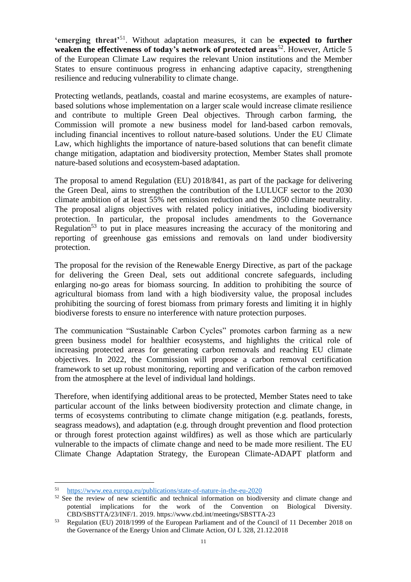**'emerging threat'**<sup>51</sup> . Without adaptation measures, it can be **expected to further weaken the effectiveness of today's network of protected areas<sup>52</sup>. However, Article 5** of the European Climate Law requires the relevant Union institutions and the Member States to ensure continuous progress in enhancing adaptive capacity, strengthening resilience and reducing vulnerability to climate change.

Protecting wetlands, peatlands, coastal and marine ecosystems, are examples of naturebased solutions whose implementation on a larger scale would increase climate resilience and contribute to multiple Green Deal objectives. Through carbon farming, the Commission will promote a new business model for land-based carbon removals, including financial incentives to rollout nature-based solutions. Under the EU Climate Law, which highlights the importance of nature-based solutions that can benefit climate change mitigation, adaptation and biodiversity protection, Member States shall promote nature-based solutions and ecosystem-based adaptation.

The proposal to amend Regulation (EU) 2018/841, as part of the package for delivering the Green Deal, aims to strengthen the contribution of the LULUCF sector to the 2030 climate ambition of at least 55% net emission reduction and the 2050 climate neutrality. The proposal aligns objectives with related policy initiatives, including biodiversity protection. In particular, the proposal includes amendments to the Governance Regulation<sup>53</sup> to put in place measures increasing the accuracy of the monitoring and reporting of greenhouse gas emissions and removals on land under biodiversity protection.

The proposal for the revision of the Renewable Energy Directive, as part of the package for delivering the Green Deal, sets out additional concrete safeguards, including enlarging no-go areas for biomass sourcing. In addition to prohibiting the source of agricultural biomass from land with a high biodiversity value, the proposal includes prohibiting the sourcing of forest biomass from primary forests and limiting it in highly biodiverse forests to ensure no interference with nature protection purposes.

The communication "Sustainable Carbon Cycles" promotes carbon farming as a new green business model for healthier ecosystems, and highlights the critical role of increasing protected areas for generating carbon removals and reaching EU climate objectives. In 2022, the Commission will propose a carbon removal certification framework to set up robust monitoring, reporting and verification of the carbon removed from the atmosphere at the level of individual land holdings.

Therefore, when identifying additional areas to be protected, Member States need to take particular account of the links between biodiversity protection and climate change, in terms of ecosystems contributing to climate change mitigation (e.g. peatlands, forests, seagrass meadows), and adaptation (e.g. through drought prevention and flood protection or through forest protection against wildfires) as well as those which are particularly vulnerable to the impacts of climate change and need to be made more resilient. The EU Climate Change Adaptation Strategy, the European Climate-ADAPT platform and

<sup>51</sup> <https://www.eea.europa.eu/publications/state-of-nature-in-the-eu-2020>

<sup>&</sup>lt;sup>52</sup> See the review of new scientific and technical information on biodiversity and climate change and potential implications for the work of the Convention on Biological Diversity. CBD/SBSTTA/23/INF/1. 2019.<https://www.cbd.int/meetings/SBSTTA-23>

<sup>53</sup> Regulation (EU) 2018/1999 of the European Parliament and of the Council of 11 December 2018 on the Governance of the Energy Union and Climate Action, OJ L 328, 21.12.2018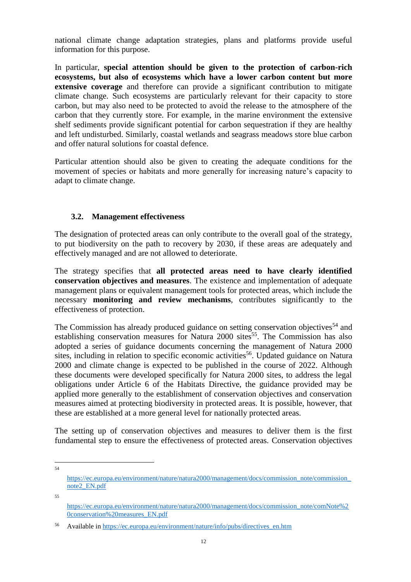national climate change adaptation strategies, plans and platforms provide useful information for this purpose.

In particular, **special attention should be given to the protection of carbon-rich ecosystems, but also of ecosystems which have a lower carbon content but more extensive coverage** and therefore can provide a significant contribution to mitigate climate change. Such ecosystems are particularly relevant for their capacity to store carbon, but may also need to be protected to avoid the release to the atmosphere of the carbon that they currently store. For example, in the marine environment the extensive shelf sediments provide significant potential for carbon sequestration if they are healthy and left undisturbed. Similarly, coastal wetlands and seagrass meadows store blue carbon and offer natural solutions for coastal defence.

Particular attention should also be given to creating the adequate conditions for the movement of species or habitats and more generally for increasing nature's capacity to adapt to climate change.

#### **3.2. Management effectiveness**

The designation of protected areas can only contribute to the overall goal of the strategy, to put biodiversity on the path to recovery by 2030, if these areas are adequately and effectively managed and are not allowed to deteriorate.

The strategy specifies that **all protected areas need to have clearly identified conservation objectives and measures**. The existence and implementation of adequate management plans or equivalent management tools for protected areas, which include the necessary **monitoring and review mechanisms**, contributes significantly to the effectiveness of protection.

The Commission has already produced guidance on setting conservation objectives<sup>54</sup> and establishing conservation measures for Natura 2000 sites<sup>55</sup>. The Commission has also adopted a series of guidance documents concerning the management of Natura 2000 sites, including in relation to specific economic activities<sup>56</sup>. Updated guidance on Natura 2000 and climate change is expected to be published in the course of 2022. Although these documents were developed specifically for Natura 2000 sites, to address the legal obligations under Article 6 of the Habitats Directive, the guidance provided may be applied more generally to the establishment of conservation objectives and conservation measures aimed at protecting biodiversity in protected areas. It is possible, however, that these are established at a more general level for nationally protected areas.

The setting up of conservation objectives and measures to deliver them is the first fundamental step to ensure the effectiveness of protected areas. Conservation objectives

54

55

[https://ec.europa.eu/environment/nature/natura2000/management/docs/commission\\_note/commission\\_](https://ec.europa.eu/environment/nature/natura2000/management/docs/commission_note/commission_note2_EN.pdf) [note2\\_EN.pdf](https://ec.europa.eu/environment/nature/natura2000/management/docs/commission_note/commission_note2_EN.pdf)

[https://ec.europa.eu/environment/nature/natura2000/management/docs/commission\\_note/comNote%2](https://ec.europa.eu/environment/nature/natura2000/management/docs/commission_note/comNote%20conservation%20measures_EN.pdf) [0conservation%20measures\\_EN.pdf](https://ec.europa.eu/environment/nature/natura2000/management/docs/commission_note/comNote%20conservation%20measures_EN.pdf)

<sup>56</sup> Available in [https://ec.europa.eu/environment/nature/info/pubs/directives\\_en.htm](https://ec.europa.eu/environment/nature/info/pubs/directives_en.htm)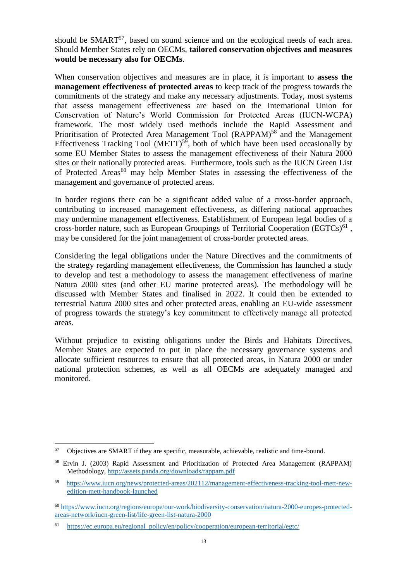should be SMART<sup>57</sup>, based on sound science and on the ecological needs of each area. Should Member States rely on OECMs, **tailored conservation objectives and measures would be necessary also for OECMs**.

When conservation objectives and measures are in place, it is important to **assess the management effectiveness of protected areas** to keep track of the progress towards the commitments of the strategy and make any necessary adjustments. Today, most systems that assess management effectiveness are based on the International Union for Conservation of Nature's World Commission for Protected Areas (IUCN-WCPA) framework. The most widely used methods include the Rapid Assessment and Prioritisation of Protected Area Management Tool (RAPPAM)<sup>58</sup> and the Management Effectiveness Tracking Tool (METT)<sup>59</sup>, both of which have been used occasionally by some EU Member States to assess the management effectiveness of their Natura 2000 sites or their nationally protected areas. Furthermore, tools such as the IUCN Green List of Protected Areas<sup>60</sup> may help Member States in assessing the effectiveness of the management and governance of protected areas.

In border regions there can be a significant added value of a cross-border approach, contributing to increased management effectiveness, as differing national approaches may undermine management effectiveness. Establishment of European legal bodies of a cross-border nature, such as European Groupings of Territorial Cooperation  $(EGTCs)^{61}$ , may be considered for the joint management of cross-border protected areas.

Considering the legal obligations under the Nature Directives and the commitments of the strategy regarding management effectiveness, the Commission has launched a study to develop and test a methodology to assess the management effectiveness of marine Natura 2000 sites (and other EU marine protected areas). The methodology will be discussed with Member States and finalised in 2022. It could then be extended to terrestrial Natura 2000 sites and other protected areas, enabling an EU-wide assessment of progress towards the strategy's key commitment to effectively manage all protected areas.

Without prejudice to existing obligations under the Birds and Habitats Directives, Member States are expected to put in place the necessary governance systems and allocate sufficient resources to ensure that all protected areas, in Natura 2000 or under national protection schemes, as well as all OECMs are adequately managed and monitored.

<sup>57</sup> Objectives are SMART if they are specific, measurable, achievable, realistic and time-bound.

<sup>58</sup> Ervin J. (2003) Rapid Assessment and Prioritization of Protected Area Management (RAPPAM) Methodology,<http://assets.panda.org/downloads/rappam.pdf>

<sup>59</sup> [https://www.iucn.org/news/protected-areas/202112/management-effectiveness-tracking-tool-mett-new](https://www.iucn.org/news/protected-areas/202112/management-effectiveness-tracking-tool-mett-new-edition-mett-handbook-launched)[edition-mett-handbook-launched](https://www.iucn.org/news/protected-areas/202112/management-effectiveness-tracking-tool-mett-new-edition-mett-handbook-launched) 

<sup>60</sup> [https://www.iucn.org/regions/europe/our-work/biodiversity-conservation/natura-2000-europes-protected](https://www.iucn.org/regions/europe/our-work/biodiversity-conservation/natura-2000-europes-protected-areas-network/iucn-green-list/life-green-list-natura-2000)[areas-network/iucn-green-list/life-green-list-natura-2000](https://www.iucn.org/regions/europe/our-work/biodiversity-conservation/natura-2000-europes-protected-areas-network/iucn-green-list/life-green-list-natura-2000)

<sup>61</sup> [https://ec.europa.eu/regional\\_policy/en/policy/cooperation/european-territorial/egtc/](https://ec.europa.eu/regional_policy/en/policy/cooperation/european-territorial/egtc/)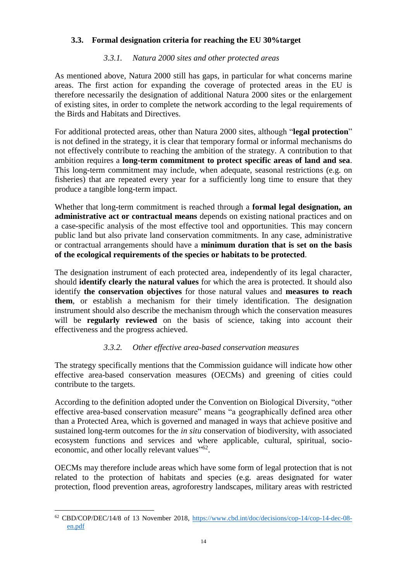# **3.3. Formal designation criteria for reaching the EU 30%target**

# *3.3.1. Natura 2000 sites and other protected areas*

As mentioned above, Natura 2000 still has gaps, in particular for what concerns marine areas. The first action for expanding the coverage of protected areas in the EU is therefore necessarily the designation of additional Natura 2000 sites or the enlargement of existing sites, in order to complete the network according to the legal requirements of the Birds and Habitats and Directives.

For additional protected areas, other than Natura 2000 sites, although "**legal protection**" is not defined in the strategy, it is clear that temporary formal or informal mechanisms do not effectively contribute to reaching the ambition of the strategy. A contribution to that ambition requires a **long-term commitment to protect specific areas of land and sea**. This long-term commitment may include, when adequate, seasonal restrictions (e.g. on fisheries) that are repeated every year for a sufficiently long time to ensure that they produce a tangible long-term impact.

Whether that long-term commitment is reached through a **formal legal designation, an administrative act or contractual means** depends on existing national practices and on a case-specific analysis of the most effective tool and opportunities. This may concern public land but also private land conservation commitments. In any case, administrative or contractual arrangements should have a **minimum duration that is set on the basis of the ecological requirements of the species or habitats to be protected**.

The designation instrument of each protected area, independently of its legal character, should **identify clearly the natural values** for which the area is protected. It should also identify **the conservation objectives** for those natural values and **measures to reach them**, or establish a mechanism for their timely identification. The designation instrument should also describe the mechanism through which the conservation measures will be **regularly reviewed** on the basis of science, taking into account their effectiveness and the progress achieved.

# *3.3.2. Other effective area-based conservation measures*

The strategy specifically mentions that the Commission guidance will indicate how other effective area-based conservation measures (OECMs) and greening of cities could contribute to the targets.

According to the definition adopted under the Convention on Biological Diversity, "other effective area-based conservation measure" means "a geographically defined area other than a Protected Area, which is governed and managed in ways that achieve positive and sustained long-term outcomes for the *in situ* conservation of biodiversity, with associated ecosystem functions and services and where applicable, cultural, spiritual, socioeconomic, and other locally relevant values"<sup>62</sup>.

OECMs may therefore include areas which have some form of legal protection that is not related to the protection of habitats and species (e.g. areas designated for water protection, flood prevention areas, agroforestry landscapes, military areas with restricted

 $\overline{a}$ <sup>62</sup> CBD/COP/DEC/14/8 of 13 November 2018, [https://www.cbd.int/doc/decisions/cop-14/cop-14-dec-08](https://www.cbd.int/doc/decisions/cop-14/cop-14-dec-08-en.pdf) [en.pdf](https://www.cbd.int/doc/decisions/cop-14/cop-14-dec-08-en.pdf)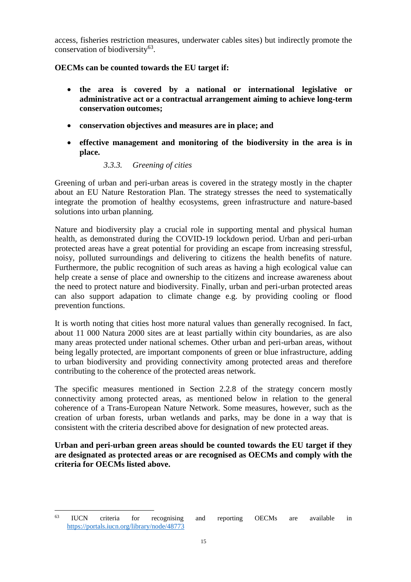access, fisheries restriction measures, underwater cables sites) but indirectly promote the conservation of biodiversity<sup>63</sup>.

# **OECMs can be counted towards the EU target if:**

- **the area is covered by a national or international legislative or administrative act or a contractual arrangement aiming to achieve long-term conservation outcomes;**
- **conservation objectives and measures are in place; and**
- **effective management and monitoring of the biodiversity in the area is in place.**

# *3.3.3. Greening of cities*

Greening of urban and peri-urban areas is covered in the strategy mostly in the chapter about an EU Nature Restoration Plan. The strategy stresses the need to systematically integrate the promotion of healthy ecosystems, green infrastructure and nature-based solutions into urban planning.

Nature and biodiversity play a crucial role in supporting mental and physical human health, as demonstrated during the COVID-19 lockdown period. Urban and peri-urban protected areas have a great potential for providing an escape from increasing stressful, noisy, polluted surroundings and delivering to citizens the health benefits of nature. Furthermore, the public recognition of such areas as having a high ecological value can help create a sense of place and ownership to the citizens and increase awareness about the need to protect nature and biodiversity. Finally, urban and peri-urban protected areas can also support adapation to climate change e.g. by providing cooling or flood prevention functions.

It is worth noting that cities host more natural values than generally recognised. In fact, about 11 000 Natura 2000 sites are at least partially within city boundaries, as are also many areas protected under national schemes. Other urban and peri-urban areas, without being legally protected, are important components of green or blue infrastructure, adding to urban biodiversity and providing connectivity among protected areas and therefore contributing to the coherence of the protected areas network.

The specific measures mentioned in Section 2.2.8 of the strategy concern mostly connectivity among protected areas, as mentioned below in relation to the general coherence of a Trans-European Nature Network. Some measures, however, such as the creation of urban forests, urban wetlands and parks, may be done in a way that is consistent with the criteria described above for designation of new protected areas.

**Urban and peri-urban green areas should be counted towards the EU target if they are designated as protected areas or are recognised as OECMs and comply with the criteria for OECMs listed above.** 

<sup>63</sup> <sup>63</sup> IUCN criteria for recognising and reporting OECMs are available in <https://portals.iucn.org/library/node/48773>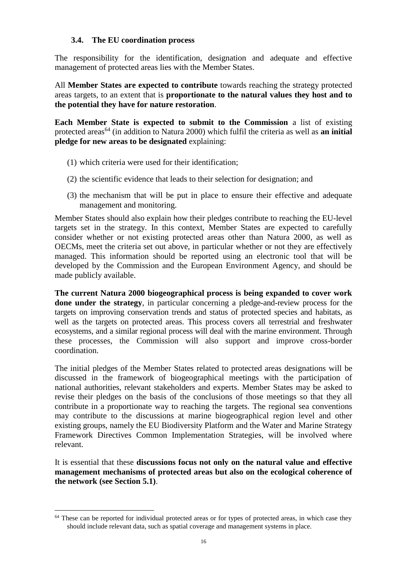# **3.4. The EU coordination process**

The responsibility for the identification, designation and adequate and effective management of protected areas lies with the Member States.

All **Member States are expected to contribute** towards reaching the strategy protected areas targets, to an extent that is **proportionate to the natural values they host and to the potential they have for nature restoration**.

**Each Member State is expected to submit to the Commission** a list of existing protected areas<sup>64</sup> (in addition to Natura 2000) which fulfil the criteria as well as **an initial pledge for new areas to be designated** explaining:

- (1) which criteria were used for their identification;
- (2) the scientific evidence that leads to their selection for designation; and
- (3) the mechanism that will be put in place to ensure their effective and adequate management and monitoring.

Member States should also explain how their pledges contribute to reaching the EU-level targets set in the strategy. In this context, Member States are expected to carefully consider whether or not existing protected areas other than Natura 2000, as well as OECMs, meet the criteria set out above, in particular whether or not they are effectively managed. This information should be reported using an electronic tool that will be developed by the Commission and the European Environment Agency, and should be made publicly available.

**The current Natura 2000 biogeographical process is being expanded to cover work done under the strategy**, in particular concerning a pledge-and-review process for the targets on improving conservation trends and status of protected species and habitats, as well as the targets on protected areas. This process covers all terrestrial and freshwater ecosystems, and a similar regional process will deal with the marine environment. Through these processes, the Commission will also support and improve cross-border coordination.

The initial pledges of the Member States related to protected areas designations will be discussed in the framework of biogeographical meetings with the participation of national authorities, relevant stakeholders and experts. Member States may be asked to revise their pledges on the basis of the conclusions of those meetings so that they all contribute in a proportionate way to reaching the targets. The regional sea conventions may contribute to the discussions at marine biogeographical region level and other existing groups, namely the EU Biodiversity Platform and the Water and Marine Strategy Framework Directives Common Implementation Strategies, will be involved where relevant.

It is essential that these **discussions focus not only on the natural value and effective management mechanisms of protected areas but also on the ecological coherence of the network (see Section 5.1)**.

<sup>&</sup>lt;sup>64</sup> These can be reported for individual protected areas or for types of protected areas, in which case they should include relevant data, such as spatial coverage and management systems in place.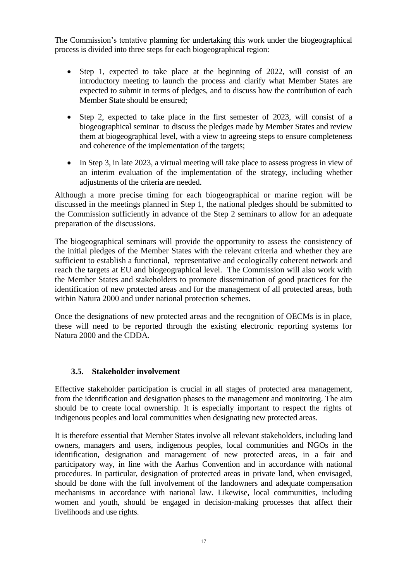The Commission's tentative planning for undertaking this work under the biogeographical process is divided into three steps for each biogeographical region:

- Step 1, expected to take place at the beginning of 2022, will consist of an introductory meeting to launch the process and clarify what Member States are expected to submit in terms of pledges, and to discuss how the contribution of each Member State should be ensured;
- Step 2, expected to take place in the first semester of 2023, will consist of a biogeographical seminar to discuss the pledges made by Member States and review them at biogeographical level, with a view to agreeing steps to ensure completeness and coherence of the implementation of the targets;
- In Step 3, in late 2023, a virtual meeting will take place to assess progress in view of an interim evaluation of the implementation of the strategy, including whether adjustments of the criteria are needed.

Although a more precise timing for each biogeographical or marine region will be discussed in the meetings planned in Step 1, the national pledges should be submitted to the Commission sufficiently in advance of the Step 2 seminars to allow for an adequate preparation of the discussions.

The biogeographical seminars will provide the opportunity to assess the consistency of the initial pledges of the Member States with the relevant criteria and whether they are sufficient to establish a functional, representative and ecologically coherent network and reach the targets at EU and biogeographical level. The Commission will also work with the Member States and stakeholders to promote dissemination of good practices for the identification of new protected areas and for the management of all protected areas, both within Natura 2000 and under national protection schemes.

Once the designations of new protected areas and the recognition of OECMs is in place, these will need to be reported through the existing electronic reporting systems for Natura 2000 and the CDDA.

# **3.5. Stakeholder involvement**

Effective stakeholder participation is crucial in all stages of protected area management, from the identification and designation phases to the management and monitoring. The aim should be to create local ownership. It is especially important to respect the rights of indigenous peoples and local communities when designating new protected areas.

It is therefore essential that Member States involve all relevant stakeholders, including land owners, managers and users, indigenous peoples, local communities and NGOs in the identification, designation and management of new protected areas, in a fair and participatory way, in line with the Aarhus Convention and in accordance with national procedures. In particular, designation of protected areas in private land, when envisaged, should be done with the full involvement of the landowners and adequate compensation mechanisms in accordance with national law. Likewise, local communities, including women and youth, should be engaged in decision-making processes that affect their livelihoods and use rights.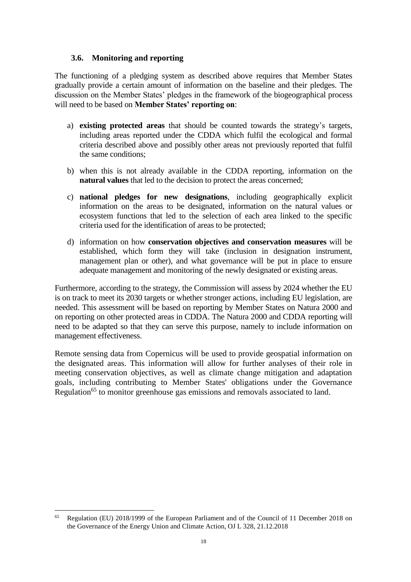#### **3.6. Monitoring and reporting**

The functioning of a pledging system as described above requires that Member States gradually provide a certain amount of information on the baseline and their pledges. The discussion on the Member States' pledges in the framework of the biogeographical process will need to be based on **Member States' reporting on**:

- a) **existing protected areas** that should be counted towards the strategy's targets, including areas reported under the CDDA which fulfil the ecological and formal criteria described above and possibly other areas not previously reported that fulfil the same conditions;
- b) when this is not already available in the CDDA reporting, information on the **natural values** that led to the decision to protect the areas concerned;
- c) **national pledges for new designations**, including geographically explicit information on the areas to be designated, information on the natural values or ecosystem functions that led to the selection of each area linked to the specific criteria used for the identification of areas to be protected;
- d) information on how **conservation objectives and conservation measures** will be established, which form they will take (inclusion in designation instrument, management plan or other), and what governance will be put in place to ensure adequate management and monitoring of the newly designated or existing areas.

Furthermore, according to the strategy, the Commission will assess by 2024 whether the EU is on track to meet its 2030 targets or whether stronger actions, including EU legislation, are needed. This assessment will be based on reporting by Member States on Natura 2000 and on reporting on other protected areas in CDDA. The Natura 2000 and CDDA reporting will need to be adapted so that they can serve this purpose, namely to include information on management effectiveness.

Remote sensing data from Copernicus will be used to provide geospatial information on the designated areas. This information will allow for further analyses of their role in meeting conservation objectives, as well as climate change mitigation and adaptation goals, including contributing to Member States' obligations under the Governance Regulation<sup>65</sup> to monitor greenhouse gas emissions and removals associated to land.

 $\overline{a}$ <sup>65</sup> Regulation (EU) 2018/1999 of the European Parliament and of the Council of 11 December 2018 on the Governance of the Energy Union and Climate Action, OJ L 328, 21.12.2018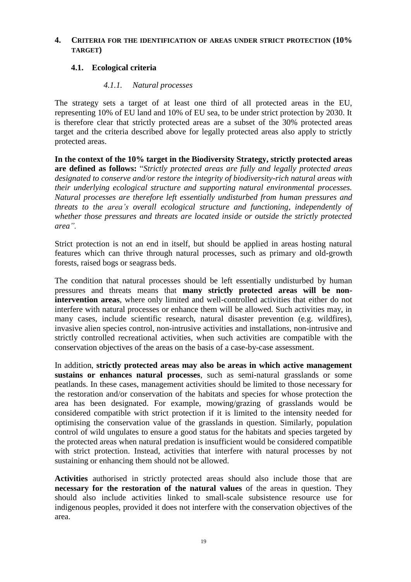#### **4. CRITERIA FOR THE IDENTIFICATION OF AREAS UNDER STRICT PROTECTION (10% TARGET)**

# **4.1. Ecological criteria**

#### *4.1.1. Natural processes*

The strategy sets a target of at least one third of all protected areas in the EU, representing 10% of EU land and 10% of EU sea, to be under strict protection by 2030. It is therefore clear that strictly protected areas are a subset of the 30% protected areas target and the criteria described above for legally protected areas also apply to strictly protected areas.

**In the context of the 10% target in the Biodiversity Strategy, strictly protected areas are defined as follows:** "*Strictly protected areas are fully and legally protected areas designated to conserve and/or restore the integrity of biodiversity-rich natural areas with their underlying ecological structure and supporting natural environmental processes. Natural processes are therefore left essentially undisturbed from human pressures and threats to the area's overall ecological structure and functioning, independently of whether those pressures and threats are located inside or outside the strictly protected area".*

Strict protection is not an end in itself, but should be applied in areas hosting natural features which can thrive through natural processes, such as primary and old-growth forests, raised bogs or seagrass beds.

The condition that natural processes should be left essentially undisturbed by human pressures and threats means that **many strictly protected areas will be nonintervention areas**, where only limited and well-controlled activities that either do not interfere with natural processes or enhance them will be allowed. Such activities may, in many cases, include scientific research, natural disaster prevention (e.g. wildfires), invasive alien species control, non-intrusive activities and installations, non-intrusive and strictly controlled recreational activities, when such activities are compatible with the conservation objectives of the areas on the basis of a case-by-case assessment.

In addition, **strictly protected areas may also be areas in which active management sustains or enhances natural processes**, such as semi-natural grasslands or some peatlands. In these cases, management activities should be limited to those necessary for the restoration and/or conservation of the habitats and species for whose protection the area has been designated. For example, mowing/grazing of grasslands would be considered compatible with strict protection if it is limited to the intensity needed for optimising the conservation value of the grasslands in question. Similarly, population control of wild ungulates to ensure a good status for the habitats and species targeted by the protected areas when natural predation is insufficient would be considered compatible with strict protection. Instead, activities that interfere with natural processes by not sustaining or enhancing them should not be allowed.

**Activities** authorised in strictly protected areas should also include those that are **necessary for the restoration of the natural values** of the areas in question. They should also include activities linked to small-scale subsistence resource use for indigenous peoples, provided it does not interfere with the conservation objectives of the area.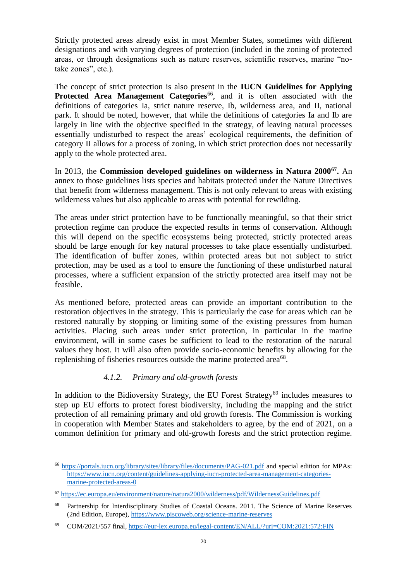Strictly protected areas already exist in most Member States, sometimes with different designations and with varying degrees of protection (included in the zoning of protected areas, or through designations such as nature reserves, scientific reserves, marine "notake zones", etc.).

The concept of strict protection is also present in the **IUCN Guidelines for Applying**  Protected Area Management Categories<sup>66</sup>, and it is often associated with the definitions of categories Ia, strict nature reserve, Ib, wilderness area, and II, national park. It should be noted, however, that while the definitions of categories Ia and Ib are largely in line with the objective specified in the strategy, of leaving natural processes essentially undisturbed to respect the areas' ecological requirements, the definition of category II allows for a process of zoning, in which strict protection does not necessarily apply to the whole protected area.

In 2013, the **Commission developed guidelines on wilderness in Natura 2000<sup>67</sup> .** An annex to those guidelines lists species and habitats protected under the Nature Directives that benefit from wilderness management. This is not only relevant to areas with existing wilderness values but also applicable to areas with potential for rewilding.

The areas under strict protection have to be functionally meaningful, so that their strict protection regime can produce the expected results in terms of conservation. Although this will depend on the specific ecosystems being protected, strictly protected areas should be large enough for key natural processes to take place essentially undisturbed. The identification of buffer zones, within protected areas but not subject to strict protection, may be used as a tool to ensure the functioning of these undisturbed natural processes, where a sufficient expansion of the strictly protected area itself may not be feasible.

As mentioned before, protected areas can provide an important contribution to the restoration objectives in the strategy. This is particularly the case for areas which can be restored naturally by stopping or limiting some of the existing pressures from human activities. Placing such areas under strict protection, in particular in the marine environment, will in some cases be sufficient to lead to the restoration of the natural values they host. It will also often provide socio-economic benefits by allowing for the replenishing of fisheries resources outside the marine protected area<sup>68</sup>.

# *4.1.2. Primary and old-growth forests*

In addition to the Bidioversity Strategy, the EU Forest Strategy<sup>69</sup> includes measures to step up EU efforts to protect forest biodiversity, including the mapping and the strict protection of all remaining primary and old growth forests. The Commission is working in cooperation with Member States and stakeholders to agree, by the end of 2021, on a common definition for primary and old-growth forests and the strict protection regime.

 $\overline{a}$ <sup>66</sup> <https://portals.iucn.org/library/sites/library/files/documents/PAG-021.pdf> and special edition for MPAs: [https://www.iucn.org/content/guidelines-applying-iucn-protected-area-management-categories](https://www.iucn.org/content/guidelines-applying-iucn-protected-area-management-categories-marine-protected-areas-0)[marine-protected-areas-0](https://www.iucn.org/content/guidelines-applying-iucn-protected-area-management-categories-marine-protected-areas-0)

<sup>67</sup> <https://ec.europa.eu/environment/nature/natura2000/wilderness/pdf/WildernessGuidelines.pdf>

<sup>68</sup> Partnership for Interdisciplinary Studies of Coastal Oceans. 2011. The Science of Marine Reserves (2nd Edition, Europe)[, https://www.piscoweb.org/science-marine-reserves](https://www.piscoweb.org/science-marine-reserves)

<sup>69</sup> COM/2021/557 final,<https://eur-lex.europa.eu/legal-content/EN/ALL/?uri=COM:2021:572:FIN>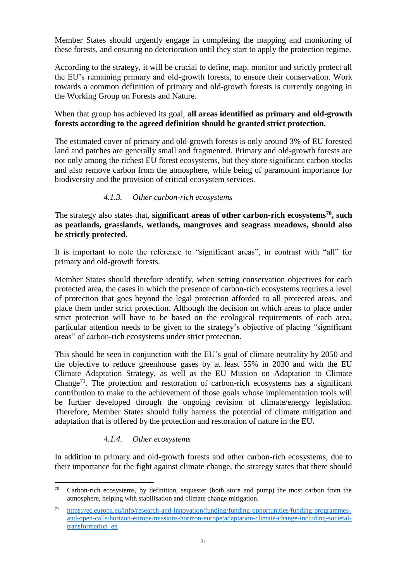Member States should urgently engage in completing the mapping and monitoring of these forests, and ensuring no deterioration until they start to apply the protection regime.

According to the strategy, it will be crucial to define, map, monitor and strictly protect all the EU's remaining primary and old-growth forests, to ensure their conservation. Work towards a common definition of primary and old-growth forests is currently ongoing in the Working Group on Forests and Nature.

# When that group has achieved its goal, **all areas identified as primary and old-growth forests according to the agreed definition should be granted strict protection.**

The estimated cover of primary and old-growth forests is only around 3% of EU forested land and patches are generally small and fragmented. Primary and old-growth forests are not only among the richest EU forest ecosystems, but they store significant carbon stocks and also remove carbon from the atmosphere, while being of paramount importance for biodiversity and the provision of critical ecosystem services.

# *4.1.3. Other carbon-rich ecosystems*

The strategy also states that, **significant areas of other carbon-rich ecosystems<sup>70</sup>, such as peatlands, grasslands, wetlands, mangroves and seagrass meadows, should also be strictly protected.**

It is important to note the reference to "significant areas", in contrast with "all" for primary and old-growth forests.

Member States should therefore identify, when setting conservation objectives for each protected area, the cases in which the presence of carbon-rich ecosystems requires a level of protection that goes beyond the legal protection afforded to all protected areas, and place them under strict protection. Although the decision on which areas to place under strict protection will have to be based on the ecological requirements of each area, particular attention needs to be given to the strategy's objective of placing "significant areas" of carbon-rich ecosystems under strict protection.

This should be seen in conjunction with the EU's goal of climate neutrality by 2050 and the objective to reduce greenhouse gases by at least 55% in 2030 and with the EU Climate Adaptation Strategy, as well as the EU Mission on Adaptation to Climate Change<sup>71</sup>. The protection and restoration of carbon-rich ecosystems has a significant contribution to make to the achievement of those goals whose implementation tools will be further developed through the ongoing revision of climate/energy legislation. Therefore, Member States should fully harness the potential of climate mitigation and adaptation that is offered by the protection and restoration of nature in the EU.

# *4.1.4. Other ecosystems*

In addition to primary and old-growth forests and other carbon-rich ecosystems, due to their importance for the fight against climate change, the strategy states that there should

 $\overline{a}$ <sup>70</sup> Carbon-rich ecosystems, by definition, sequester (both store and pump) the most carbon from the atmosphere, helping with stabilisation and climate change mitigation.

<sup>71</sup> [https://ec.europa.eu/info/research-and-innovation/funding/funding-opportunities/funding-programmes](https://ec.europa.eu/info/research-and-innovation/funding/funding-opportunities/funding-programmes-and-open-calls/horizon-europe/missions-horizon-europe/adaptation-climate-change-including-societal-transformation_en)[and-open-calls/horizon-europe/missions-horizon-europe/adaptation-climate-change-including-societal](https://ec.europa.eu/info/research-and-innovation/funding/funding-opportunities/funding-programmes-and-open-calls/horizon-europe/missions-horizon-europe/adaptation-climate-change-including-societal-transformation_en)[transformation\\_en](https://ec.europa.eu/info/research-and-innovation/funding/funding-opportunities/funding-programmes-and-open-calls/horizon-europe/missions-horizon-europe/adaptation-climate-change-including-societal-transformation_en)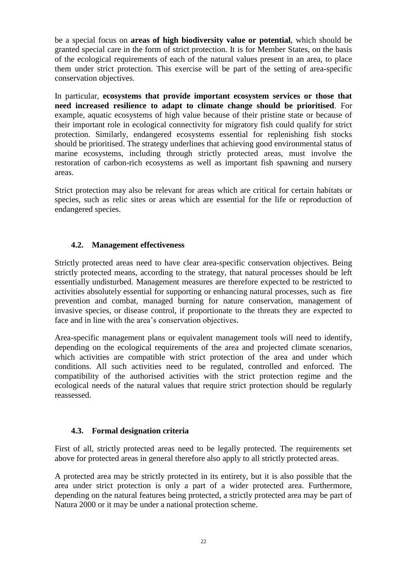be a special focus on **areas of high biodiversity value or potential**, which should be granted special care in the form of strict protection. It is for Member States, on the basis of the ecological requirements of each of the natural values present in an area, to place them under strict protection. This exercise will be part of the setting of area-specific conservation objectives.

In particular, **ecosystems that provide important ecosystem services or those that need increased resilience to adapt to climate change should be prioritised**. For example, aquatic ecosystems of high value because of their pristine state or because of their important role in ecological connectivity for migratory fish could qualify for strict protection. Similarly, endangered ecosystems essential for replenishing fish stocks should be prioritised. The strategy underlines that achieving good environmental status of marine ecosystems, including through strictly protected areas, must involve the restoration of carbon-rich ecosystems as well as important fish spawning and nursery areas.

Strict protection may also be relevant for areas which are critical for certain habitats or species, such as relic sites or areas which are essential for the life or reproduction of endangered species.

#### **4.2. Management effectiveness**

Strictly protected areas need to have clear area-specific conservation objectives. Being strictly protected means, according to the strategy, that natural processes should be left essentially undisturbed. Management measures are therefore expected to be restricted to activities absolutely essential for supporting or enhancing natural processes, such as fire prevention and combat, managed burning for nature conservation, management of invasive species, or disease control, if proportionate to the threats they are expected to face and in line with the area's conservation objectives.

Area-specific management plans or equivalent management tools will need to identify, depending on the ecological requirements of the area and projected climate scenarios, which activities are compatible with strict protection of the area and under which conditions. All such activities need to be regulated, controlled and enforced. The compatibility of the authorised activities with the strict protection regime and the ecological needs of the natural values that require strict protection should be regularly reassessed.

#### **4.3. Formal designation criteria**

First of all, strictly protected areas need to be legally protected. The requirements set above for protected areas in general therefore also apply to all strictly protected areas.

A protected area may be strictly protected in its entirety, but it is also possible that the area under strict protection is only a part of a wider protected area. Furthermore, depending on the natural features being protected, a strictly protected area may be part of Natura 2000 or it may be under a national protection scheme.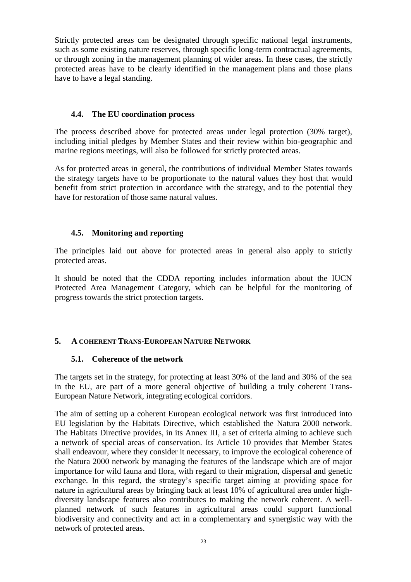Strictly protected areas can be designated through specific national legal instruments, such as some existing nature reserves, through specific long-term contractual agreements, or through zoning in the management planning of wider areas. In these cases, the strictly protected areas have to be clearly identified in the management plans and those plans have to have a legal standing.

#### **4.4. The EU coordination process**

The process described above for protected areas under legal protection (30% target), including initial pledges by Member States and their review within bio-geographic and marine regions meetings, will also be followed for strictly protected areas.

As for protected areas in general, the contributions of individual Member States towards the strategy targets have to be proportionate to the natural values they host that would benefit from strict protection in accordance with the strategy, and to the potential they have for restoration of those same natural values.

#### **4.5. Monitoring and reporting**

The principles laid out above for protected areas in general also apply to strictly protected areas.

It should be noted that the CDDA reporting includes information about the IUCN Protected Area Management Category, which can be helpful for the monitoring of progress towards the strict protection targets.

# **5. A COHERENT TRANS-EUROPEAN NATURE NETWORK**

#### **5.1. Coherence of the network**

The targets set in the strategy, for protecting at least 30% of the land and 30% of the sea in the EU, are part of a more general objective of building a truly coherent Trans-European Nature Network, integrating ecological corridors.

The aim of setting up a coherent European ecological network was first introduced into EU legislation by the Habitats Directive, which established the Natura 2000 network. The Habitats Directive provides, in its Annex III, a set of criteria aiming to achieve such a network of special areas of conservation. Its Article 10 provides that Member States shall endeavour, where they consider it necessary, to improve the ecological coherence of the Natura 2000 network by managing the features of the landscape which are of major importance for wild fauna and flora, with regard to their migration, dispersal and genetic exchange. In this regard, the strategy's specific target aiming at providing space for nature in agricultural areas by bringing back at least 10% of agricultural area under highdiversity landscape features also contributes to making the network coherent. A wellplanned network of such features in agricultural areas could support functional biodiversity and connectivity and act in a complementary and synergistic way with the network of protected areas.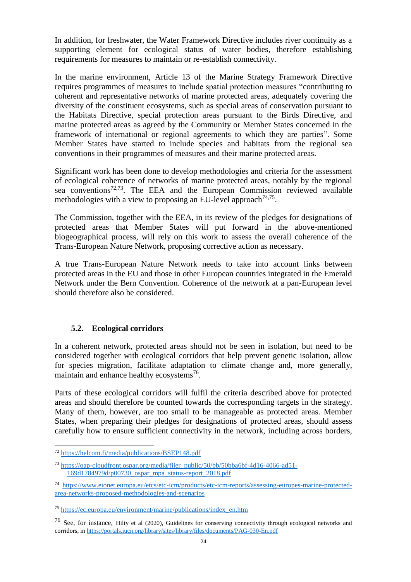In addition, for freshwater, the Water Framework Directive includes river continuity as a supporting element for ecological status of water bodies, therefore establishing requirements for measures to maintain or re-establish connectivity.

In the marine environment, Article 13 of the Marine Strategy Framework Directive requires programmes of measures to include spatial protection measures "contributing to coherent and representative networks of marine protected areas, adequately covering the diversity of the constituent ecosystems, such as special areas of conservation pursuant to the Habitats Directive, special protection areas pursuant to the Birds Directive, and marine protected areas as agreed by the Community or Member States concerned in the framework of international or regional agreements to which they are parties". Some Member States have started to include species and habitats from the regional sea conventions in their programmes of measures and their marine protected areas.

Significant work has been done to develop methodologies and criteria for the assessment of ecological coherence of networks of marine protected areas, notably by the regional sea conventions<sup>72,73</sup>. The EEA and the European Commission reviewed available methodologies with a view to proposing an EU-level approach<sup>74,75</sup>.

The Commission, together with the EEA, in its review of the pledges for designations of protected areas that Member States will put forward in the above-mentioned biogeographical process, will rely on this work to assess the overall coherence of the Trans-European Nature Network, proposing corrective action as necessary.

A true Trans-European Nature Network needs to take into account links between protected areas in the EU and those in other European countries integrated in the Emerald Network under the Bern Convention. Coherence of the network at a pan-European level should therefore also be considered.

#### **5.2. Ecological corridors**

In a coherent network, protected areas should not be seen in isolation, but need to be considered together with ecological corridors that help prevent genetic isolation, allow for species migration, facilitate adaptation to climate change and, more generally, maintain and enhance healthy ecosystems<sup>76</sup>.

Parts of these ecological corridors will fulfil the criteria described above for protected areas and should therefore be counted towards the corresponding targets in the strategy. Many of them, however, are too small to be manageable as protected areas. Member States, when preparing their pledges for designations of protected areas, should assess carefully how to ensure sufficient connectivity in the network, including across borders,

<sup>&</sup>lt;sup>72</sup> <https://helcom.fi/media/publications/BSEP148.pdf>

<sup>73</sup> [https://oap-cloudfront.ospar.org/media/filer\\_public/50/bb/50bba6bf-4d16-4066-ad51-](https://oap-cloudfront.ospar.org/media/filer_public/50/bb/50bba6bf-4d16-4066-ad51-169d1784979d/p00730_ospar_mpa_status-report_2018.pdf) [169d1784979d/p00730\\_ospar\\_mpa\\_status-report\\_2018.pdf](https://oap-cloudfront.ospar.org/media/filer_public/50/bb/50bba6bf-4d16-4066-ad51-169d1784979d/p00730_ospar_mpa_status-report_2018.pdf)

<sup>74</sup> [https://www.eionet.europa.eu/etcs/etc-icm/products/etc-icm-reports/assessing-europes-marine-protected](https://www.eionet.europa.eu/etcs/etc-icm/products/etc-icm-reports/assessing-europes-marine-protected-area-networks-proposed-methodologies-and-scenarios)[area-networks-proposed-methodologies-and-scenarios](https://www.eionet.europa.eu/etcs/etc-icm/products/etc-icm-reports/assessing-europes-marine-protected-area-networks-proposed-methodologies-and-scenarios)

<sup>75</sup> [https://ec.europa.eu/environment/marine/publications/index\\_en.htm](https://ec.europa.eu/environment/marine/publications/index_en.htm)

<sup>76</sup> See, for instance, Hilty et al (2020), Guidelines for conserving connectivity through ecological networks and corridors, i[n https://portals.iucn.org/library/sites/library/files/documents/PAG-030-En.pdf](https://portals.iucn.org/library/sites/library/files/documents/PAG-030-En.pdf)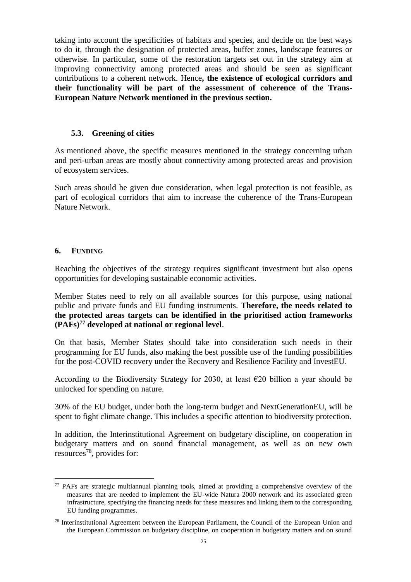taking into account the specificities of habitats and species, and decide on the best ways to do it, through the designation of protected areas, buffer zones, landscape features or otherwise. In particular, some of the restoration targets set out in the strategy aim at improving connectivity among protected areas and should be seen as significant contributions to a coherent network. Hence**, the existence of ecological corridors and their functionality will be part of the assessment of coherence of the Trans-European Nature Network mentioned in the previous section.**

#### **5.3. Greening of cities**

As mentioned above, the specific measures mentioned in the strategy concerning urban and peri-urban areas are mostly about connectivity among protected areas and provision of ecosystem services.

Such areas should be given due consideration, when legal protection is not feasible, as part of ecological corridors that aim to increase the coherence of the Trans-European Nature Network.

#### **6. FUNDING**

 $\overline{a}$ 

Reaching the objectives of the strategy requires significant investment but also opens opportunities for developing sustainable economic activities.

Member States need to rely on all available sources for this purpose, using national public and private funds and EU funding instruments. **Therefore, the needs related to the protected areas targets can be identified in the prioritised action frameworks (PAFs)<sup>77</sup> developed at national or regional level**.

On that basis, Member States should take into consideration such needs in their programming for EU funds, also making the best possible use of the funding possibilities for the post-COVID recovery under the Recovery and Resilience Facility and InvestEU.

According to the Biodiversity Strategy for 2030, at least  $\epsilon$ 20 billion a year should be unlocked for spending on nature.

30% of the EU budget, under both the long-term budget and NextGenerationEU, will be spent to fight climate change. This includes a specific attention to biodiversity protection.

In addition, the Interinstitutional Agreement on budgetary discipline, on cooperation in budgetary matters and on sound financial management, as well as on new own resources<sup>78</sup>, provides for:

<sup>77</sup> PAFs are strategic multiannual planning tools, aimed at providing a comprehensive overview of the measures that are needed to implement the EU-wide Natura 2000 network and its associated green infrastructure, specifying the financing needs for these measures and linking them to the corresponding EU funding programmes.

<sup>78</sup> Interinstitutional Agreement between the European Parliament, the Council of the European Union and the European Commission on budgetary discipline, on cooperation in budgetary matters and on sound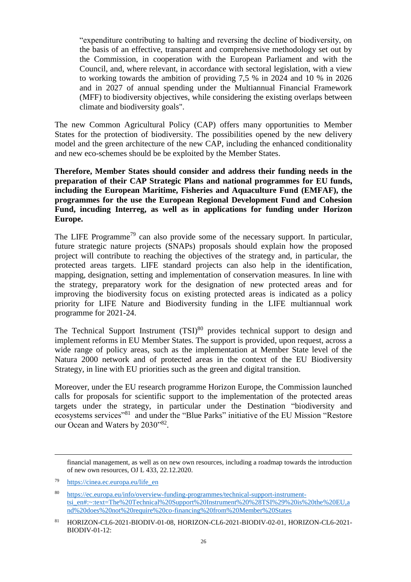"expenditure contributing to halting and reversing the decline of biodiversity, on the basis of an effective, transparent and comprehensive methodology set out by the Commission, in cooperation with the European Parliament and with the Council, and, where relevant, in accordance with sectoral legislation, with a view to working towards the ambition of providing 7,5 % in 2024 and 10 % in 2026 and in 2027 of annual spending under the Multiannual Financial Framework (MFF) to biodiversity objectives, while considering the existing overlaps between climate and biodiversity goals".

The new Common Agricultural Policy (CAP) offers many opportunities to Member States for the protection of biodiversity. The possibilities opened by the new delivery model and the green architecture of the new CAP, including the enhanced conditionality and new eco-schemes should be be exploited by the Member States.

**Therefore, Member States should consider and address their funding needs in the preparation of their CAP Strategic Plans and national programmes for EU funds, including the European Maritime, Fisheries and Aquaculture Fund (EMFAF), the programmes for the use the European Regional Development Fund and Cohesion Fund, incuding Interreg, as well as in applications for funding under Horizon Europe.**

The LIFE Programme<sup>79</sup> can also provide some of the necessary support. In particular, future strategic nature projects (SNAPs) proposals should explain how the proposed project will contribute to reaching the objectives of the strategy and, in particular, the protected areas targets. LIFE standard projects can also help in the identification, mapping, designation, setting and implementation of conservation measures. In line with the strategy, preparatory work for the designation of new protected areas and for improving the biodiversity focus on existing protected areas is indicated as a policy priority for LIFE Nature and Biodiversity funding in the LIFE multiannual work programme for 2021-24.

The Technical Support Instrument  $(TSI)^{80}$  provides technical support to design and implement reforms in EU Member States. The support is provided, upon request, across a wide range of policy areas, such as the implementation at Member State level of the Natura 2000 network and of protected areas in the context of the EU Biodiversity Strategy, in line with EU priorities such as the green and digital transition.

Moreover, under the EU research programme Horizon Europe, the Commission launched calls for proposals for scientific support to the implementation of the protected areas targets under the strategy, in particular under the Destination "biodiversity and ecosystems services"<sup>81</sup> and under the "Blue Parks" initiative of the EU Mission "Restore our Ocean and Waters by 2030"82.

financial management, as well as on new own resources, including a roadmap towards the introduction of new own resources, OJ L 433, 22.12.2020.

<sup>79</sup> [https://cinea.ec.europa.eu/life\\_en](https://cinea.ec.europa.eu/life_en)

<sup>80</sup> [https://ec.europa.eu/info/overview-funding-programmes/technical-support-instrument](https://ec.europa.eu/info/overview-funding-programmes/technical-support-instrument-tsi_en#:~:text=The%20Technical%20Support%20Instrument%20%28TSI%29%20is%20the%20EU,and%20does%20not%20require%20co-financing%20from%20Member%20States)tsi\_en#:~:text=The%20Technical%20Support%20Instrument%20%28TSI%29%20is%20the%20EU.a [nd%20does%20not%20require%20co-financing%20from%20Member%20States](https://ec.europa.eu/info/overview-funding-programmes/technical-support-instrument-tsi_en#:~:text=The%20Technical%20Support%20Instrument%20%28TSI%29%20is%20the%20EU,and%20does%20not%20require%20co-financing%20from%20Member%20States)

<sup>81</sup> HORIZON-CL6-2021-BIODIV-01-08, HORIZON-CL6-2021-BIODIV-02-01, HORIZON-CL6-2021- BIODIV-01-12: